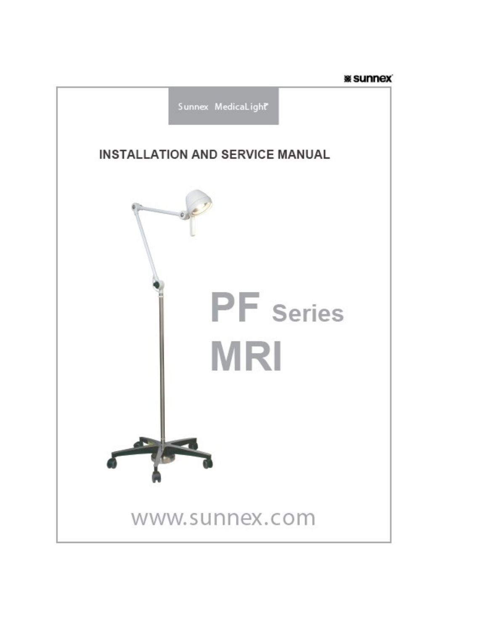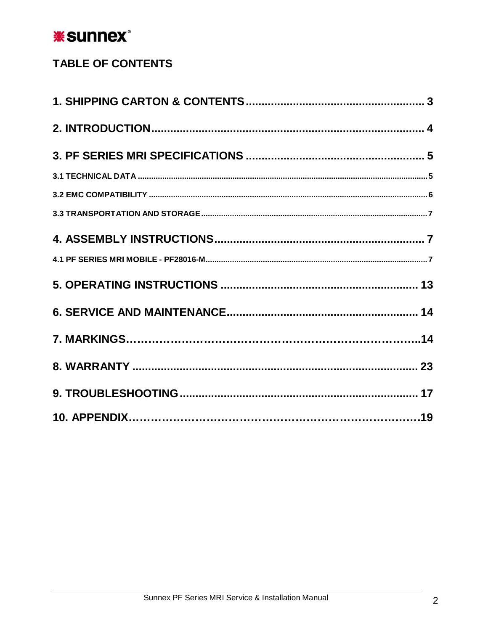

### **TABLE OF CONTENTS**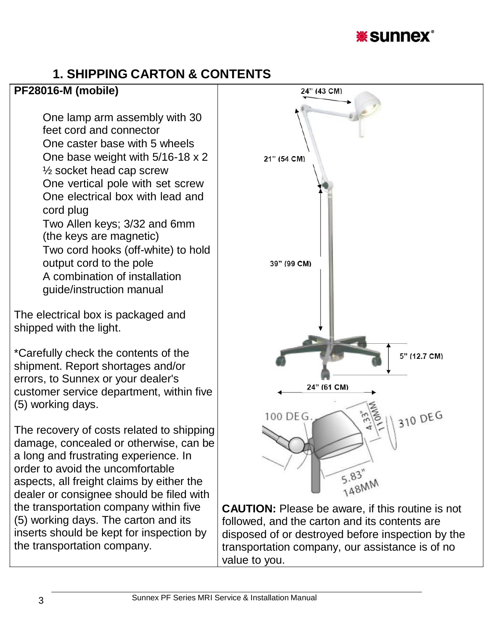# **WE SUNNEX**

# **1. SHIPPING CARTON & CONTENTS**

### **PF28016-M (mobile)**

 One lamp arm assembly with 30 feet cord and connector One caster base with 5 wheels One base weight with 5/16-18 x 2  $\frac{1}{2}$  socket head cap screw One vertical pole with set screw One electrical box with lead and cord plug Two Allen keys; 3/32 and 6mm (the keys are magnetic) Two cord hooks (off-white) to hold output cord to the pole A combination of installation guide/instruction manual

The electrical box is packaged and shipped with the light.

\*Carefully check the contents of the shipment. Report shortages and/or errors, to Sunnex or your dealer's customer service department, within five (5) working days.

The recovery of costs related to shipping damage, concealed or otherwise, can be a long and frustrating experience. In order to avoid the uncomfortable aspects, all freight claims by either the dealer or consignee should be filed with the transportation company within five (5) working days. The carton and its inserts should be kept for inspection by the transportation company.



**CAUTION:** Please be aware, if this routine is not followed, and the carton and its contents are disposed of or destroyed before inspection by the transportation company, our assistance is of no value to you.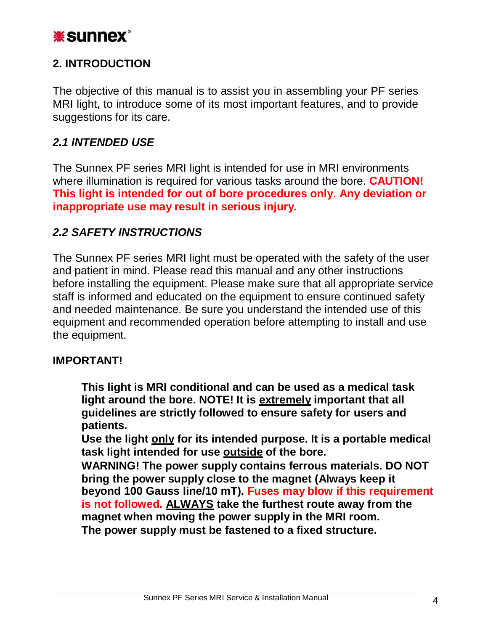

#### **2. INTRODUCTION**

The objective of this manual is to assist you in assembling your PF series MRI light, to introduce some of its most important features, and to provide suggestions for its care.

#### *2.1 INTENDED USE*

The Sunnex PF series MRI light is intended for use in MRI environments where illumination is required for various tasks around the bore. **CAUTION! This light is intended for out of bore procedures only. Any deviation or inappropriate use may result in serious injury.**

#### *2.2 SAFETY INSTRUCTIONS*

The Sunnex PF series MRI light must be operated with the safety of the user and patient in mind. Please read this manual and any other instructions before installing the equipment. Please make sure that all appropriate service staff is informed and educated on the equipment to ensure continued safety and needed maintenance. Be sure you understand the intended use of this equipment and recommended operation before attempting to install and use the equipment.

#### **IMPORTANT!**

 **This light is MRI conditional and can be used as a medical task light around the bore. NOTE! It is extremely important that all guidelines are strictly followed to ensure safety for users and patients.**

 **Use the light only for its intended purpose. It is a portable medical task light intended for use outside of the bore.**

 **WARNING! The power supply contains ferrous materials. DO NOT bring the power supply close to the magnet (Always keep it beyond 100 Gauss line/10 mT). Fuses may blow if this requirement is not followed. ALWAYS take the furthest route away from the magnet when moving the power supply in the MRI room. The power supply must be fastened to a fixed structure.**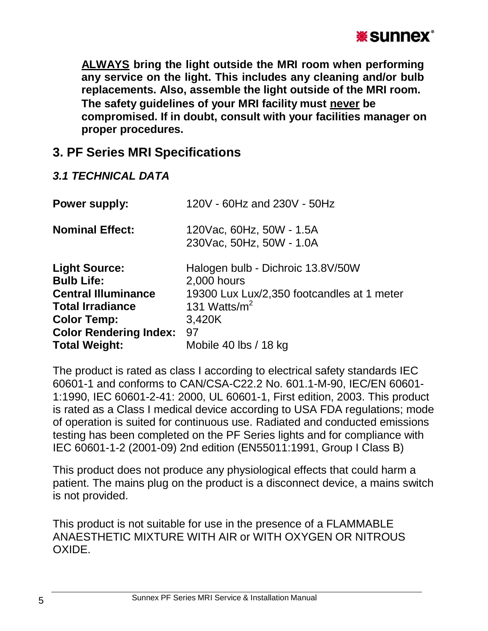

 **ALWAYS bring the light outside the MRI room when performing any service on the light. This includes any cleaning and/or bulb replacements. Also, assemble the light outside of the MRI room. The safety guidelines of your MRI facility must never be compromised. If in doubt, consult with your facilities manager on proper procedures.**

### **3. PF Series MRI Specifications**

### *3.1 TECHNICAL DATA*

| <b>Power supply:</b>                                                                                                                                      | 120V - 60Hz and 230V - 50Hz                                                                                                       |
|-----------------------------------------------------------------------------------------------------------------------------------------------------------|-----------------------------------------------------------------------------------------------------------------------------------|
| <b>Nominal Effect:</b>                                                                                                                                    | 120Vac, 60Hz, 50W - 1.5A<br>230Vac, 50Hz, 50W - 1.0A                                                                              |
| <b>Light Source:</b><br><b>Bulb Life:</b><br><b>Central Illuminance</b><br><b>Total Irradiance</b><br><b>Color Temp:</b><br><b>Color Rendering Index:</b> | Halogen bulb - Dichroic 13.8V/50W<br>2,000 hours<br>19300 Lux Lux/2,350 footcandles at 1 meter<br>131 Watts/ $m2$<br>3,420K<br>97 |
| <b>Total Weight:</b>                                                                                                                                      | Mobile 40 lbs / 18 kg                                                                                                             |

The product is rated as class I according to electrical safety standards IEC 60601-1 and conforms to CAN/CSA-C22.2 No. 601.1-M-90, IEC/EN 60601- 1:1990, IEC 60601-2-41: 2000, UL 60601-1, First edition, 2003. This product is rated as a Class I medical device according to USA FDA regulations; mode of operation is suited for continuous use. Radiated and conducted emissions testing has been completed on the PF Series lights and for compliance with IEC 60601-1-2 (2001-09) 2nd edition (EN55011:1991, Group I Class B)

This product does not produce any physiological effects that could harm a patient. The mains plug on the product is a disconnect device, a mains switch is not provided.

This product is not suitable for use in the presence of a FLAMMABLE ANAESTHETIC MIXTURE WITH AIR or WITH OXYGEN OR NITROUS OXIDE.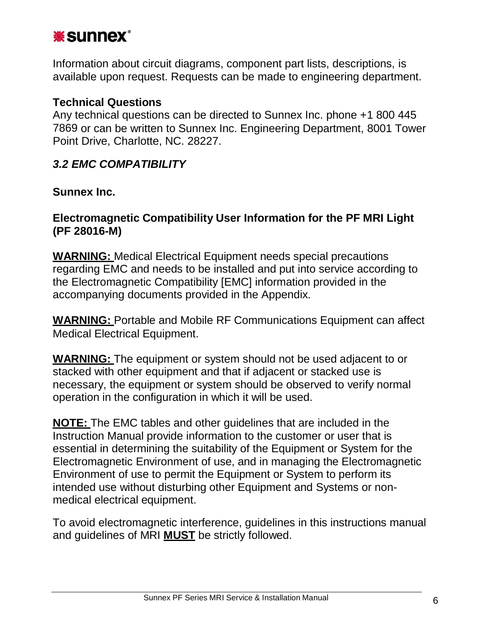

Information about circuit diagrams, component part lists, descriptions, is available upon request. Requests can be made to engineering department.

#### **Technical Questions**

Any technical questions can be directed to Sunnex Inc. phone +1 800 445 7869 or can be written to Sunnex Inc. Engineering Department, 8001 Tower Point Drive, Charlotte, NC. 28227.

### *3.2 EMC COMPATIBILITY*

#### **Sunnex Inc.**

#### **Electromagnetic Compatibility User Information for the PF MRI Light (PF 28016-M)**

**WARNING:** Medical Electrical Equipment needs special precautions regarding EMC and needs to be installed and put into service according to the Electromagnetic Compatibility [EMC] information provided in the accompanying documents provided in the Appendix.

**WARNING:** Portable and Mobile RF Communications Equipment can affect Medical Electrical Equipment.

**WARNING:** The equipment or system should not be used adjacent to or stacked with other equipment and that if adjacent or stacked use is necessary, the equipment or system should be observed to verify normal operation in the configuration in which it will be used.

**NOTE:** The EMC tables and other guidelines that are included in the Instruction Manual provide information to the customer or user that is essential in determining the suitability of the Equipment or System for the Electromagnetic Environment of use, and in managing the Electromagnetic Environment of use to permit the Equipment or System to perform its intended use without disturbing other Equipment and Systems or nonmedical electrical equipment.

To avoid electromagnetic interference, guidelines in this instructions manual and guidelines of MRI **MUST** be strictly followed.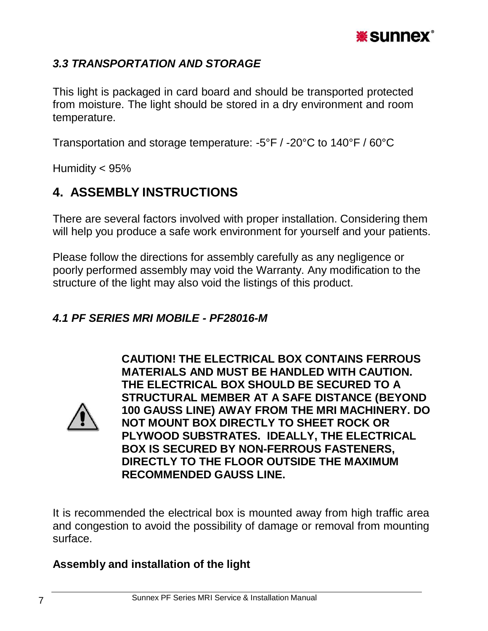

### *3.3 TRANSPORTATION AND STORAGE*

This light is packaged in card board and should be transported protected from moisture. The light should be stored in a dry environment and room temperature.

Transportation and storage temperature: -5°F / -20°C to 140°F / 60°C

Humidity < 95%

# **4. ASSEMBLY INSTRUCTIONS**

There are several factors involved with proper installation. Considering them will help you produce a safe work environment for yourself and your patients.

Please follow the directions for assembly carefully as any negligence or poorly performed assembly may void the Warranty. Any modification to the structure of the light may also void the listings of this product.

### *4.1 PF SERIES MRI MOBILE - PF28016-M*



**CAUTION! THE ELECTRICAL BOX CONTAINS FERROUS MATERIALS AND MUST BE HANDLED WITH CAUTION. THE ELECTRICAL BOX SHOULD BE SECURED TO A STRUCTURAL MEMBER AT A SAFE DISTANCE (BEYOND 100 GAUSS LINE) AWAY FROM THE MRI MACHINERY. DO NOT MOUNT BOX DIRECTLY TO SHEET ROCK OR PLYWOOD SUBSTRATES. IDEALLY, THE ELECTRICAL BOX IS SECURED BY NON-FERROUS FASTENERS, DIRECTLY TO THE FLOOR OUTSIDE THE MAXIMUM RECOMMENDED GAUSS LINE.**

It is recommended the electrical box is mounted away from high traffic area and congestion to avoid the possibility of damage or removal from mounting surface.

### **Assembly and installation of the light**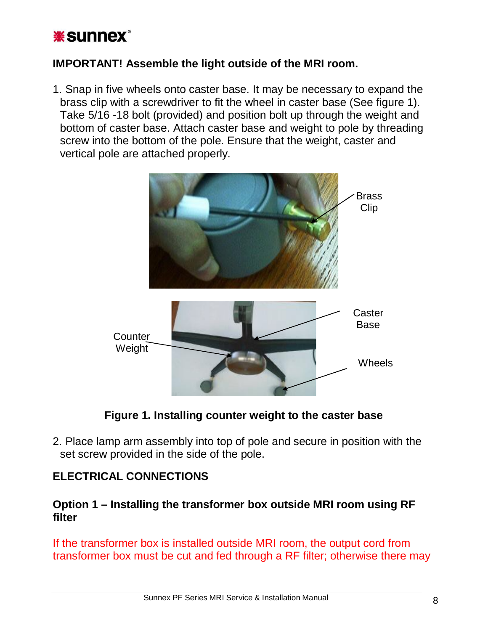

#### **IMPORTANT! Assemble the light outside of the MRI room.**

1. Snap in five wheels onto caster base. It may be necessary to expand the brass clip with a screwdriver to fit the wheel in caster base (See figure 1). Take 5/16 -18 bolt (provided) and position bolt up through the weight and bottom of caster base. Attach caster base and weight to pole by threading screw into the bottom of the pole. Ensure that the weight, caster and vertical pole are attached properly.



**Figure 1. Installing counter weight to the caster base**

2. Place lamp arm assembly into top of pole and secure in position with the set screw provided in the side of the pole.

#### **ELECTRICAL CONNECTIONS**

#### **Option 1 – Installing the transformer box outside MRI room using RF filter**

If the transformer box is installed outside MRI room, the output cord from transformer box must be cut and fed through a RF filter; otherwise there may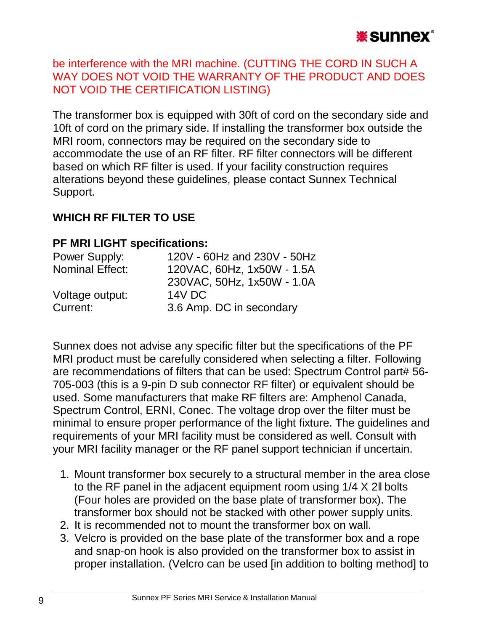be interference with the MRI machine. (CUTTING THE CORD IN SUCH A WAY DOES NOT VOID THE WARRANTY OF THE PRODUCT AND DOES NOT VOID THE CERTIFICATION LISTING)

The transformer box is equipped with 30ft of cord on the secondary side and 10ft of cord on the primary side. If installing the transformer box outside the MRI room, connectors may be required on the secondary side to accommodate the use of an RF filter. RF filter connectors will be different based on which RF filter is used. If your facility construction requires alterations beyond these guidelines, please contact Sunnex Technical Support.

### **WHICH RF FILTER TO USE**

#### **PF MRI LIGHT specifications:**

| Power Supply:          | 120V - 60Hz and 230V - 50Hz |
|------------------------|-----------------------------|
| <b>Nominal Effect:</b> | 120VAC, 60Hz, 1x50W - 1.5A  |
|                        | 230VAC, 50Hz, 1x50W - 1.0A  |
| Voltage output:        | <b>14V DC</b>               |
| Current:               | 3.6 Amp. DC in secondary    |

Sunnex does not advise any specific filter but the specifications of the PF MRI product must be carefully considered when selecting a filter. Following are recommendations of filters that can be used: Spectrum Control part# 56- 705-003 (this is a 9-pin D sub connector RF filter) or equivalent should be used. Some manufacturers that make RF filters are: Amphenol Canada, Spectrum Control, ERNI, Conec. The voltage drop over the filter must be minimal to ensure proper performance of the light fixture. The guidelines and requirements of your MRI facility must be considered as well. Consult with your MRI facility manager or the RF panel support technician if uncertain.

- 1. Mount transformer box securely to a structural member in the area close to the RF panel in the adjacent equipment room using 1/4 X 2‖ bolts (Four holes are provided on the base plate of transformer box). The transformer box should not be stacked with other power supply units.
- 2. It is recommended not to mount the transformer box on wall.
- 3. Velcro is provided on the base plate of the transformer box and a rope and snap-on hook is also provided on the transformer box to assist in proper installation. (Velcro can be used [in addition to bolting method] to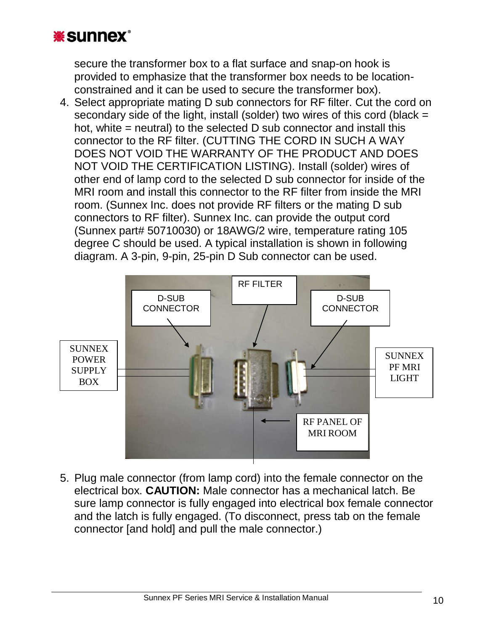

secure the transformer box to a flat surface and snap-on hook is provided to emphasize that the transformer box needs to be locationconstrained and it can be used to secure the transformer box).

4. Select appropriate mating D sub connectors for RF filter. Cut the cord on secondary side of the light, install (solder) two wires of this cord (black  $=$ hot, white = neutral) to the selected D sub connector and install this connector to the RF filter. (CUTTING THE CORD IN SUCH A WAY DOES NOT VOID THE WARRANTY OF THE PRODUCT AND DOES NOT VOID THE CERTIFICATION LISTING). Install (solder) wires of other end of lamp cord to the selected D sub connector for inside of the MRI room and install this connector to the RF filter from inside the MRI room. (Sunnex Inc. does not provide RF filters or the mating D sub connectors to RF filter). Sunnex Inc. can provide the output cord (Sunnex part# 50710030) or 18AWG/2 wire, temperature rating 105 degree C should be used. A typical installation is shown in following diagram. A 3-pin, 9-pin, 25-pin D Sub connector can be used.



5. Plug male connector (from lamp cord) into the female connector on the electrical box. **CAUTION:** Male connector has a mechanical latch. Be sure lamp connector is fully engaged into electrical box female connector and the latch is fully engaged. (To disconnect, press tab on the female connector [and hold] and pull the male connector.)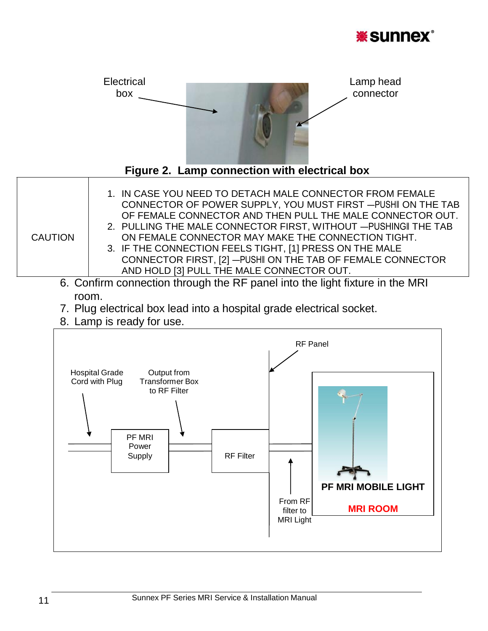



#### **Figure 2. Lamp connection with electrical box**



- 6. Confirm connection through the RF panel into the light fixture in the MRI room.
- 7. Plug electrical box lead into a hospital grade electrical socket.
- 8. Lamp is ready for use.

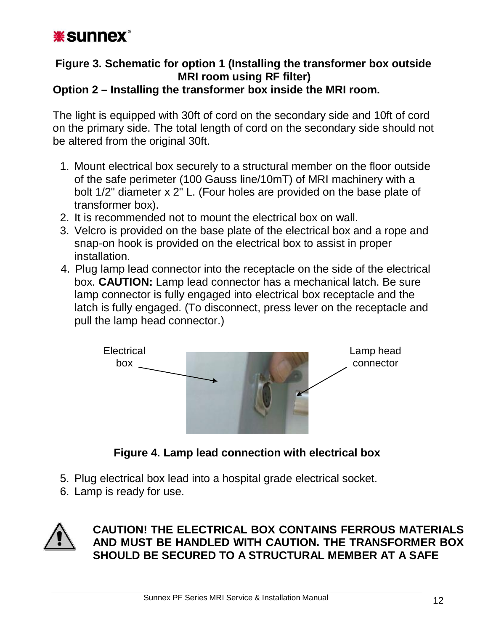

### **Figure 3. Schematic for option 1 (Installing the transformer box outside MRI room using RF filter)**

### **Option 2 – Installing the transformer box inside the MRI room.**

The light is equipped with 30ft of cord on the secondary side and 10ft of cord on the primary side. The total length of cord on the secondary side should not be altered from the original 30ft.

- 1. Mount electrical box securely to a structural member on the floor outside of the safe perimeter (100 Gauss line/10mT) of MRI machinery with a bolt 1/2" diameter x 2" L. (Four holes are provided on the base plate of transformer box).
- 2. It is recommended not to mount the electrical box on wall.
- 3. Velcro is provided on the base plate of the electrical box and a rope and snap-on hook is provided on the electrical box to assist in proper installation.
- 4. Plug lamp lead connector into the receptacle on the side of the electrical box. **CAUTION:** Lamp lead connector has a mechanical latch. Be sure lamp connector is fully engaged into electrical box receptacle and the latch is fully engaged. (To disconnect, press lever on the receptacle and pull the lamp head connector.)



### **Figure 4. Lamp lead connection with electrical box**

- 5. Plug electrical box lead into a hospital grade electrical socket.
- 6. Lamp is ready for use.



### **CAUTION! THE ELECTRICAL BOX CONTAINS FERROUS MATERIALS AND MUST BE HANDLED WITH CAUTION. THE TRANSFORMER BOX SHOULD BE SECURED TO A STRUCTURAL MEMBER AT A SAFE**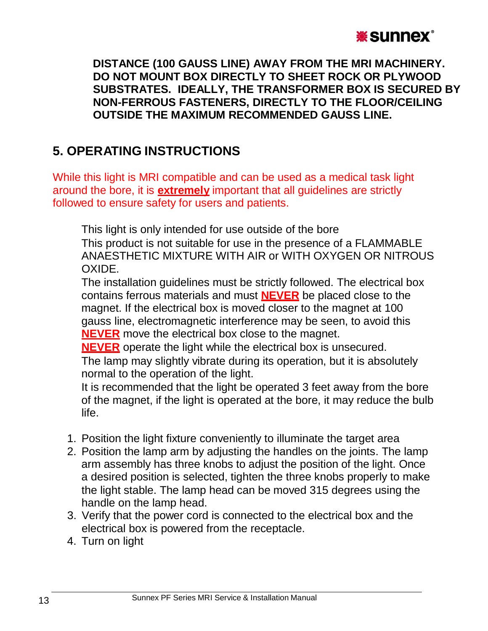# **WE SUNNEX**

**DISTANCE (100 GAUSS LINE) AWAY FROM THE MRI MACHINERY. DO NOT MOUNT BOX DIRECTLY TO SHEET ROCK OR PLYWOOD SUBSTRATES. IDEALLY, THE TRANSFORMER BOX IS SECURED BY NON-FERROUS FASTENERS, DIRECTLY TO THE FLOOR/CEILING OUTSIDE THE MAXIMUM RECOMMENDED GAUSS LINE.**

# **5. OPERATING INSTRUCTIONS**

While this light is MRI compatible and can be used as a medical task light around the bore, it is **extremely** important that all guidelines are strictly followed to ensure safety for users and patients.

This light is only intended for use outside of the bore

This product is not suitable for use in the presence of a FLAMMABLE ANAESTHETIC MIXTURE WITH AIR or WITH OXYGEN OR NITROUS OXIDE.

 The installation guidelines must be strictly followed. The electrical box contains ferrous materials and must **NEVER** be placed close to the magnet. If the electrical box is moved closer to the magnet at 100 gauss line, electromagnetic interference may be seen, to avoid this **NEVER** move the electrical box close to the magnet.

**NEVER** operate the light while the electrical box is unsecured.

The lamp may slightly vibrate during its operation, but it is absolutely normal to the operation of the light.

 It is recommended that the light be operated 3 feet away from the bore of the magnet, if the light is operated at the bore, it may reduce the bulb life.

- 1. Position the light fixture conveniently to illuminate the target area
- 2. Position the lamp arm by adjusting the handles on the joints. The lamp arm assembly has three knobs to adjust the position of the light. Once a desired position is selected, tighten the three knobs properly to make the light stable. The lamp head can be moved 315 degrees using the handle on the lamp head.
- 3. Verify that the power cord is connected to the electrical box and the electrical box is powered from the receptacle.
- 4. Turn on light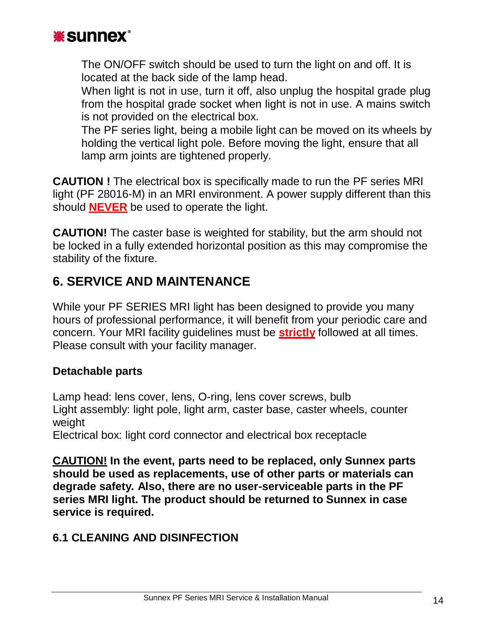

 The ON/OFF switch should be used to turn the light on and off. It is located at the back side of the lamp head.

 When light is not in use, turn it off, also unplug the hospital grade plug from the hospital grade socket when light is not in use. A mains switch is not provided on the electrical box.

 The PF series light, being a mobile light can be moved on its wheels by holding the vertical light pole. Before moving the light, ensure that all lamp arm joints are tightened properly.

**CAUTION !** The electrical box is specifically made to run the PF series MRI light (PF 28016-M) in an MRI environment. A power supply different than this should **NEVER** be used to operate the light.

**CAUTION!** The caster base is weighted for stability, but the arm should not be locked in a fully extended horizontal position as this may compromise the stability of the fixture.

### **6. SERVICE AND MAINTENANCE**

While your PF SERIES MRI light has been designed to provide you many hours of professional performance, it will benefit from your periodic care and concern. Your MRI facility guidelines must be **strictly** followed at all times. Please consult with your facility manager.

### **Detachable parts**

Lamp head: lens cover, lens, O-ring, lens cover screws, bulb Light assembly: light pole, light arm, caster base, caster wheels, counter weight

Electrical box: light cord connector and electrical box receptacle

**CAUTION! In the event, parts need to be replaced, only Sunnex parts should be used as replacements, use of other parts or materials can degrade safety. Also, there are no user-serviceable parts in the PF series MRI light. The product should be returned to Sunnex in case service is required.**

### **6.1 CLEANING AND DISINFECTION**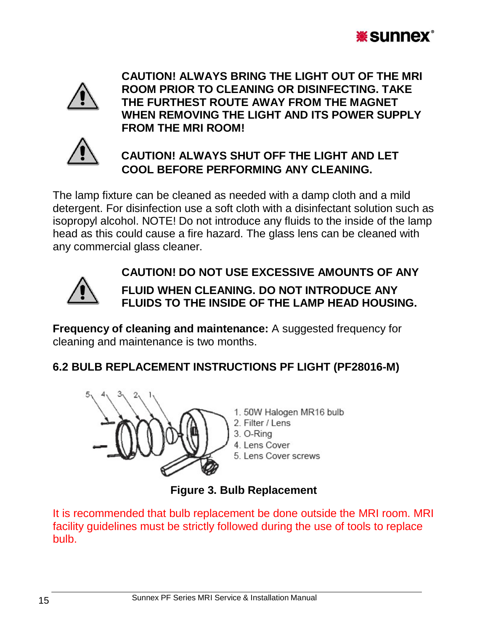# **WE SUNNEX**



**CAUTION! ALWAYS BRING THE LIGHT OUT OF THE MRI ROOM PRIOR TO CLEANING OR DISINFECTING. TAKE THE FURTHEST ROUTE AWAY FROM THE MAGNET WHEN REMOVING THE LIGHT AND ITS POWER SUPPLY FROM THE MRI ROOM!**



### **CAUTION! ALWAYS SHUT OFF THE LIGHT AND LET COOL BEFORE PERFORMING ANY CLEANING.**

The lamp fixture can be cleaned as needed with a damp cloth and a mild detergent. For disinfection use a soft cloth with a disinfectant solution such as isopropyl alcohol. NOTE! Do not introduce any fluids to the inside of the lamp head as this could cause a fire hazard. The glass lens can be cleaned with any commercial glass cleaner.



### **CAUTION! DO NOT USE EXCESSIVE AMOUNTS OF ANY FLUID WHEN CLEANING. DO NOT INTRODUCE ANY FLUIDS TO THE INSIDE OF THE LAMP HEAD HOUSING.**

**Frequency of cleaning and maintenance:** A suggested frequency for cleaning and maintenance is two months.

## **6.2 BULB REPLACEMENT INSTRUCTIONS PF LIGHT (PF28016-M)**



1. 50W Halogen MR16 bulb 2. Filter / Lens 3. O-Ring 4. Lens Cover 5. Lens Cover screws

**Figure 3. Bulb Replacement**

It is recommended that bulb replacement be done outside the MRI room. MRI facility guidelines must be strictly followed during the use of tools to replace bulb.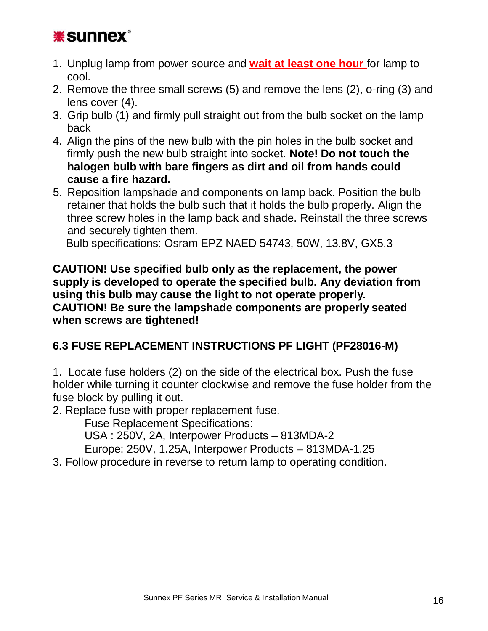

- 1. Unplug lamp from power source and **wait at least one hour** for lamp to cool.
- 2. Remove the three small screws (5) and remove the lens (2), o-ring (3) and lens cover (4).
- 3. Grip bulb (1) and firmly pull straight out from the bulb socket on the lamp back
- 4. Align the pins of the new bulb with the pin holes in the bulb socket and firmly push the new bulb straight into socket. **Note! Do not touch the halogen bulb with bare fingers as dirt and oil from hands could cause a fire hazard.**
- 5. Reposition lampshade and components on lamp back. Position the bulb retainer that holds the bulb such that it holds the bulb properly. Align the three screw holes in the lamp back and shade. Reinstall the three screws and securely tighten them.

Bulb specifications: Osram EPZ NAED 54743, 50W, 13.8V, GX5.3

**CAUTION! Use specified bulb only as the replacement, the power supply is developed to operate the specified bulb. Any deviation from using this bulb may cause the light to not operate properly. CAUTION! Be sure the lampshade components are properly seated when screws are tightened!**

### **6.3 FUSE REPLACEMENT INSTRUCTIONS PF LIGHT (PF28016-M)**

1. Locate fuse holders (2) on the side of the electrical box. Push the fuse holder while turning it counter clockwise and remove the fuse holder from the fuse block by pulling it out.

2. Replace fuse with proper replacement fuse.

Fuse Replacement Specifications:

USA : 250V, 2A, Interpower Products – 813MDA-2

Europe: 250V, 1.25A, Interpower Products – 813MDA-1.25

3. Follow procedure in reverse to return lamp to operating condition.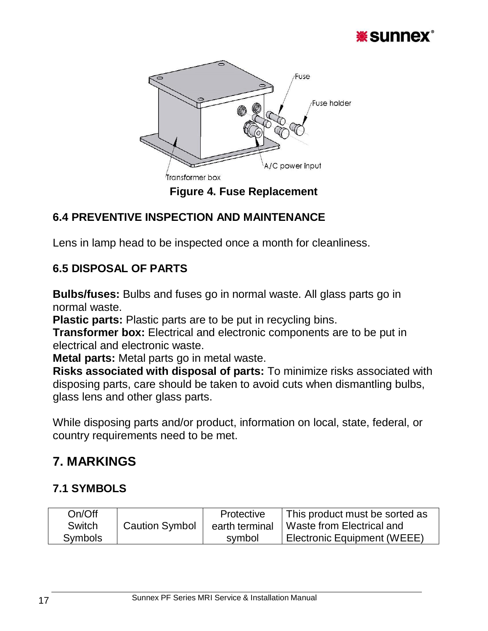



**Figure 4. Fuse Replacement**

### **6.4 PREVENTIVE INSPECTION AND MAINTENANCE**

Lens in lamp head to be inspected once a month for cleanliness.

### **6.5 DISPOSAL OF PARTS**

**Bulbs/fuses:** Bulbs and fuses go in normal waste. All glass parts go in normal waste.

**Plastic parts:** Plastic parts are to be put in recycling bins.

**Transformer box:** Electrical and electronic components are to be put in electrical and electronic waste.

**Metal parts:** Metal parts go in metal waste.

**Risks associated with disposal of parts:** To minimize risks associated with disposing parts, care should be taken to avoid cuts when dismantling bulbs, glass lens and other glass parts.

While disposing parts and/or product, information on local, state, federal, or country requirements need to be met.

# **7. MARKINGS**

### **7.1 SYMBOLS**

| On/Off         |                       | Protective     | This product must be sorted as |
|----------------|-----------------------|----------------|--------------------------------|
| Switch         | <b>Caution Symbol</b> | earth terminal | Waste from Electrical and      |
| <b>Symbols</b> |                       | symbol         | Electronic Equipment (WEEE)    |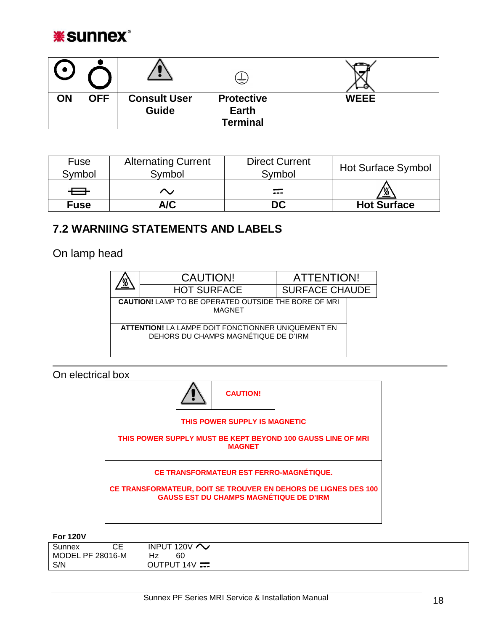

|    |            |                                     | 壱                                                    |             |
|----|------------|-------------------------------------|------------------------------------------------------|-------------|
| ON | <b>OFF</b> | <b>Consult User</b><br><b>Guide</b> | <b>Protective</b><br><b>Earth</b><br><b>Terminal</b> | <b>WEEE</b> |

| Fuse<br>Symbol           | <b>Alternating Current</b><br>Symbol | <b>Direct Current</b><br>Symbol | <b>Hot Surface Symbol</b> |
|--------------------------|--------------------------------------|---------------------------------|---------------------------|
| $\overline{\phantom{a}}$ | $\sim$                               | ---                             | <u>/w</u>                 |
| <b>Fuse</b>              | A/C                                  | DC                              | <b>Hot Surface</b>        |

#### **7.2 WARNIING STATEMENTS AND LABELS**

On lamp head

| <u>)))</u>                                                                                 | <b>CAUTION!</b>    | <b>ATTENTION!</b>     |  |
|--------------------------------------------------------------------------------------------|--------------------|-----------------------|--|
|                                                                                            | <b>HOT SURFACE</b> | <b>SURFACE CHAUDE</b> |  |
| <b>CAUTION!</b> LAMP TO BE OPERATED OUTSIDE THE BORE OF MRI<br><b>MAGNET</b>               |                    |                       |  |
| ATTENTION! LA LAMPE DOIT FONCTIONNER UNIQUEMENT EN<br>DEHORS DU CHAMPS MAGNÉTIQUE DE D'IRM |                    |                       |  |

On electrical box



#### **For 120V**

| Sunnex           | CЕ | INPUT 120V $\sim$   |
|------------------|----|---------------------|
| MODEL PF 28016-M |    | Hz<br>60            |
| S/N              |    | OUTPUT 14V $\equiv$ |
|                  |    |                     |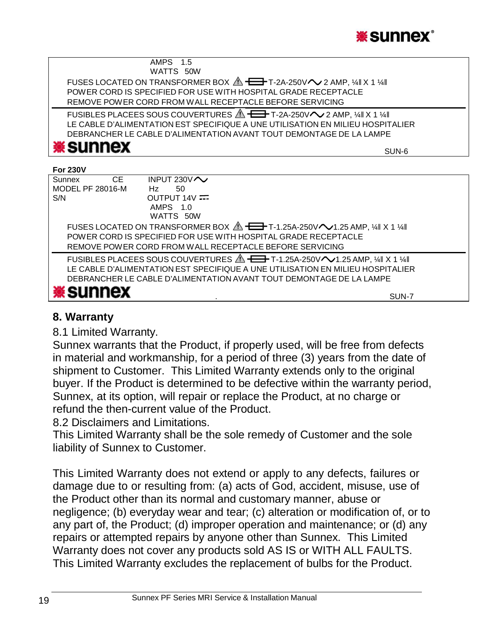| AMPS 1.5                                                                                                                                                        |       |  |  |
|-----------------------------------------------------------------------------------------------------------------------------------------------------------------|-------|--|--|
| WATTS 50W                                                                                                                                                       |       |  |  |
| FUSES LOCATED ON TRANSFORMER BOX $\triangle$ $\Box$ T-2A-250V $\sim$ 2 AMP, 1/4 II X 1 1/4 II<br>POWER CORD IS SPECIFIED FOR USE WITH HOSPITAL GRADE RECEPTACLE |       |  |  |
| REMOVE POWER CORD FROM WALL RECEPTACLE BEFORE SERVICING                                                                                                         |       |  |  |
|                                                                                                                                                                 |       |  |  |
| FUSIBLES PLACEES SOUS COUVERTURES A FECT-2A-250V V 2 AMP, 1/4 X 1 1/4                                                                                           |       |  |  |
| LE CABLE D'ALIMENTATION EST SPECIFIQUE A UNE UTILISATION EN MILIEU HOSPITALIER<br>DEBRANCHER LE CABLE D'ALIMENTATION AVANT TOUT DEMONTAGE DE LA LAMPE           |       |  |  |
|                                                                                                                                                                 |       |  |  |
| ※ Sunnex                                                                                                                                                        | SUN-6 |  |  |
|                                                                                                                                                                 |       |  |  |
| <b>For 230V</b>                                                                                                                                                 |       |  |  |
| <b>CE</b><br>INPUT 230 $V\sim$<br>Sunnex                                                                                                                        |       |  |  |
| <b>MODEL PF 28016-M</b><br>50<br>Hz.                                                                                                                            |       |  |  |
| OUTPUT $14V =$<br>S/N                                                                                                                                           |       |  |  |
| $AMPS$ 1.0<br>WATTS 50W                                                                                                                                         |       |  |  |
| FUSES LOCATED ON TRANSFORMER BOX $\triangle$ $\Box$ T-1.25A-250V $\sim$ 1.25 AMP, 1/4 X 1 1/4 II                                                                |       |  |  |
| POWER CORD IS SPECIFIED FOR USE WITH HOSPITAL GRADE RECEPTACLE                                                                                                  |       |  |  |
| REMOVE POWER CORD FROM WALL RECEPTACLE BEFORE SERVICING                                                                                                         |       |  |  |
|                                                                                                                                                                 |       |  |  |
| FUSIBLES PLACEES SOUS COUVERTURES A HIT T-1.25A-250V ~1.25 AMP, 1/4 X 1 1/4 II                                                                                  |       |  |  |
| LE CABLE D'ALIMENTATION EST SPECIFIQUE A UNE UTILISATION EN MILIEU HOSPITALIER<br>DEBRANCHER LE CABLE D'ALIMENTATION AVANT TOUT DEMONTAGE DE LA LAMPE           |       |  |  |
|                                                                                                                                                                 |       |  |  |
| <b>※SUNNEX</b>                                                                                                                                                  | SUN-7 |  |  |
|                                                                                                                                                                 |       |  |  |

### **8. Warranty**

8.1 Limited Warranty.

Sunnex warrants that the Product, if properly used, will be free from defects in material and workmanship, for a period of three (3) years from the date of shipment to Customer. This Limited Warranty extends only to the original buyer. If the Product is determined to be defective within the warranty period, Sunnex, at its option, will repair or replace the Product, at no charge or refund the then-current value of the Product.

8.2 Disclaimers and Limitations.

This Limited Warranty shall be the sole remedy of Customer and the sole liability of Sunnex to Customer.

This Limited Warranty does not extend or apply to any defects, failures or damage due to or resulting from: (a) acts of God, accident, misuse, use of the Product other than its normal and customary manner, abuse or negligence; (b) everyday wear and tear; (c) alteration or modification of, or to any part of, the Product; (d) improper operation and maintenance; or (d) any repairs or attempted repairs by anyone other than Sunnex. This Limited Warranty does not cover any products sold AS IS or WITH ALL FAULTS. This Limited Warranty excludes the replacement of bulbs for the Product.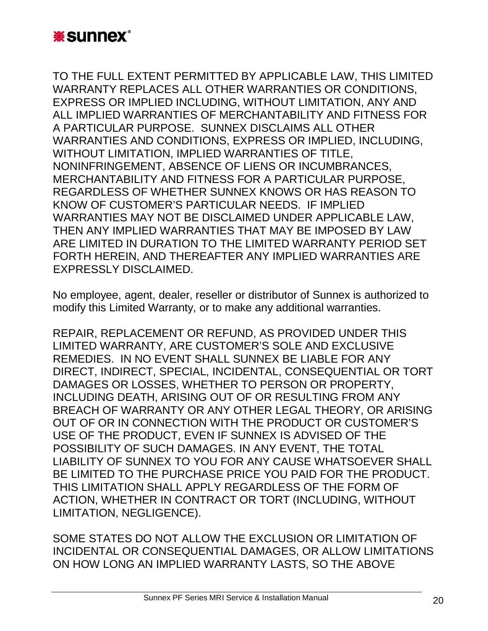TO THE FULL EXTENT PERMITTED BY APPLICABLE LAW, THIS LIMITED WARRANTY REPLACES ALL OTHER WARRANTIES OR CONDITIONS, EXPRESS OR IMPLIED INCLUDING, WITHOUT LIMITATION, ANY AND ALL IMPLIED WARRANTIES OF MERCHANTABILITY AND FITNESS FOR A PARTICULAR PURPOSE. SUNNEX DISCLAIMS ALL OTHER WARRANTIES AND CONDITIONS, EXPRESS OR IMPLIED, INCLUDING, WITHOUT LIMITATION, IMPLIED WARRANTIES OF TITLE, NONINFRINGEMENT, ABSENCE OF LIENS OR INCUMBRANCES, MERCHANTABILITY AND FITNESS FOR A PARTICULAR PURPOSE, REGARDLESS OF WHETHER SUNNEX KNOWS OR HAS REASON TO KNOW OF CUSTOMER'S PARTICULAR NEEDS. IF IMPLIED WARRANTIES MAY NOT BE DISCLAIMED UNDER APPLICABLE LAW, THEN ANY IMPLIED WARRANTIES THAT MAY BE IMPOSED BY LAW ARE LIMITED IN DURATION TO THE LIMITED WARRANTY PERIOD SET FORTH HEREIN, AND THEREAFTER ANY IMPLIED WARRANTIES ARE EXPRESSLY DISCLAIMED.

No employee, agent, dealer, reseller or distributor of Sunnex is authorized to modify this Limited Warranty, or to make any additional warranties.

REPAIR, REPLACEMENT OR REFUND, AS PROVIDED UNDER THIS LIMITED WARRANTY, ARE CUSTOMER'S SOLE AND EXCLUSIVE REMEDIES. IN NO EVENT SHALL SUNNEX BE LIABLE FOR ANY DIRECT, INDIRECT, SPECIAL, INCIDENTAL, CONSEQUENTIAL OR TORT DAMAGES OR LOSSES, WHETHER TO PERSON OR PROPERTY, INCLUDING DEATH, ARISING OUT OF OR RESULTING FROM ANY BREACH OF WARRANTY OR ANY OTHER LEGAL THEORY, OR ARISING OUT OF OR IN CONNECTION WITH THE PRODUCT OR CUSTOMER'S USE OF THE PRODUCT, EVEN IF SUNNEX IS ADVISED OF THE POSSIBILITY OF SUCH DAMAGES. IN ANY EVENT, THE TOTAL LIABILITY OF SUNNEX TO YOU FOR ANY CAUSE WHATSOEVER SHALL BE LIMITED TO THE PURCHASE PRICE YOU PAID FOR THE PRODUCT. THIS LIMITATION SHALL APPLY REGARDLESS OF THE FORM OF ACTION, WHETHER IN CONTRACT OR TORT (INCLUDING, WITHOUT LIMITATION, NEGLIGENCE).

SOME STATES DO NOT ALLOW THE EXCLUSION OR LIMITATION OF INCIDENTAL OR CONSEQUENTIAL DAMAGES, OR ALLOW LIMITATIONS ON HOW LONG AN IMPLIED WARRANTY LASTS, SO THE ABOVE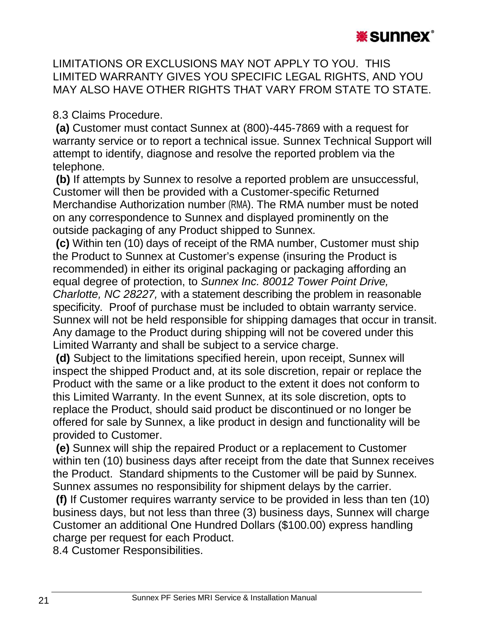#### LIMITATIONS OR EXCLUSIONS MAY NOT APPLY TO YOU. THIS LIMITED WARRANTY GIVES YOU SPECIFIC LEGAL RIGHTS, AND YOU MAY ALSO HAVE OTHER RIGHTS THAT VARY FROM STATE TO STATE.

#### 8.3 Claims Procedure.

**(a)** Customer must contact Sunnex at (800)-445-7869 with a request for warranty service or to report a technical issue. Sunnex Technical Support will attempt to identify, diagnose and resolve the reported problem via the telephone.

**(b)** If attempts by Sunnex to resolve a reported problem are unsuccessful, Customer will then be provided with a Customer-specific Returned Merchandise Authorization number (RMA). The RMA number must be noted on any correspondence to Sunnex and displayed prominently on the outside packaging of any Product shipped to Sunnex.

**(c)** Within ten (10) days of receipt of the RMA number, Customer must ship the Product to Sunnex at Customer's expense (insuring the Product is recommended) in either its original packaging or packaging affording an equal degree of protection, to *Sunnex Inc. 80012 Tower Point Drive, Charlotte, NC 28227,* with a statement describing the problem in reasonable specificity. Proof of purchase must be included to obtain warranty service. Sunnex will not be held responsible for shipping damages that occur in transit. Any damage to the Product during shipping will not be covered under this Limited Warranty and shall be subject to a service charge.

**(d)** Subject to the limitations specified herein, upon receipt, Sunnex will inspect the shipped Product and, at its sole discretion, repair or replace the Product with the same or a like product to the extent it does not conform to this Limited Warranty. In the event Sunnex, at its sole discretion, opts to replace the Product, should said product be discontinued or no longer be offered for sale by Sunnex, a like product in design and functionality will be provided to Customer.

**(e)** Sunnex will ship the repaired Product or a replacement to Customer within ten (10) business days after receipt from the date that Sunnex receives the Product. Standard shipments to the Customer will be paid by Sunnex. Sunnex assumes no responsibility for shipment delays by the carrier.

**(f)** If Customer requires warranty service to be provided in less than ten (10) business days, but not less than three (3) business days, Sunnex will charge Customer an additional One Hundred Dollars (\$100.00) express handling charge per request for each Product.

8.4 Customer Responsibilities.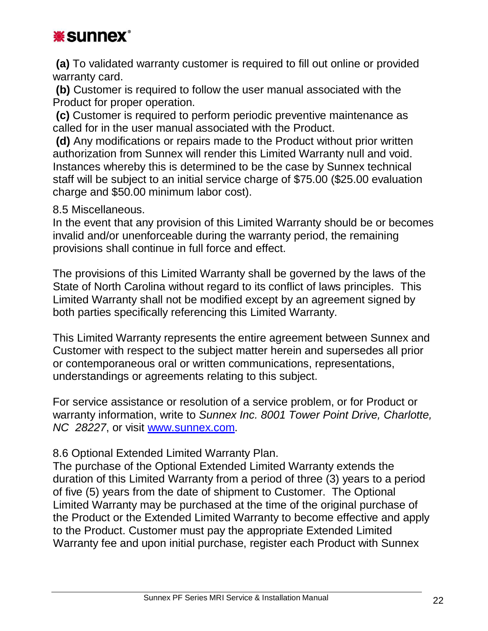

**(a)** To validated warranty customer is required to fill out online or provided warranty card.

**(b)** Customer is required to follow the user manual associated with the Product for proper operation.

**(c)** Customer is required to perform periodic preventive maintenance as called for in the user manual associated with the Product.

**(d)** Any modifications or repairs made to the Product without prior written authorization from Sunnex will render this Limited Warranty null and void. Instances whereby this is determined to be the case by Sunnex technical staff will be subject to an initial service charge of \$75.00 (\$25.00 evaluation charge and \$50.00 minimum labor cost).

8.5 Miscellaneous.

In the event that any provision of this Limited Warranty should be or becomes invalid and/or unenforceable during the warranty period, the remaining provisions shall continue in full force and effect.

The provisions of this Limited Warranty shall be governed by the laws of the State of North Carolina without regard to its conflict of laws principles. This Limited Warranty shall not be modified except by an agreement signed by both parties specifically referencing this Limited Warranty.

This Limited Warranty represents the entire agreement between Sunnex and Customer with respect to the subject matter herein and supersedes all prior or contemporaneous oral or written communications, representations, understandings or agreements relating to this subject.

For service assistance or resolution of a service problem, or for Product or warranty information, write to *Sunnex Inc. 8001 Tower Point Drive, Charlotte, NC 28227*, or visit [www.sunnex.com.](http://www.sunnex.com/)

8.6 Optional Extended Limited Warranty Plan.

The purchase of the Optional Extended Limited Warranty extends the duration of this Limited Warranty from a period of three (3) years to a period of five (5) years from the date of shipment to Customer. The Optional Limited Warranty may be purchased at the time of the original purchase of the Product or the Extended Limited Warranty to become effective and apply to the Product. Customer must pay the appropriate Extended Limited Warranty fee and upon initial purchase, register each Product with Sunnex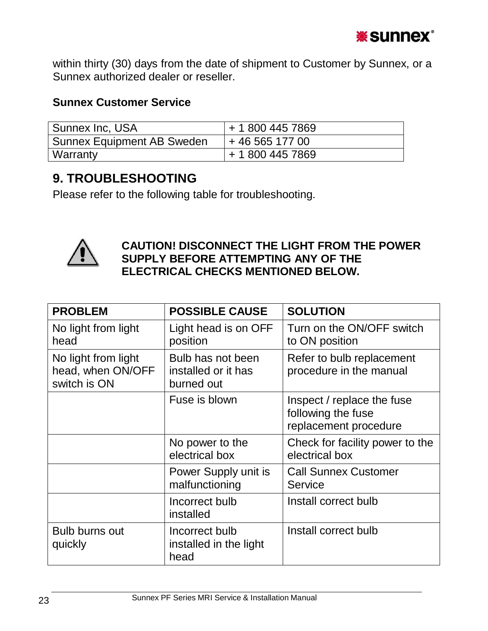

within thirty (30) days from the date of shipment to Customer by Sunnex, or a Sunnex authorized dealer or reseller.

#### **Sunnex Customer Service**

| Sunnex Inc, USA                   | <u>  + 1 800 445 7869</u> |
|-----------------------------------|---------------------------|
| <b>Sunnex Equipment AB Sweden</b> | + 46 565 177 00           |
| Warranty                          | + 1 800 445 7869          |

# **9. TROUBLESHOOTING**

Please refer to the following table for troubleshooting.



#### **CAUTION! DISCONNECT THE LIGHT FROM THE POWER SUPPLY BEFORE ATTEMPTING ANY OF THE ELECTRICAL CHECKS MENTIONED BELOW.**

| <b>PROBLEM</b>                                                                                                     | <b>POSSIBLE CAUSE</b>                            | <b>SOLUTION</b>                                                           |
|--------------------------------------------------------------------------------------------------------------------|--------------------------------------------------|---------------------------------------------------------------------------|
| No light from light<br>head                                                                                        | Light head is on OFF<br>position                 | Turn on the ON/OFF switch<br>to ON position                               |
| Bulb has not been<br>No light from light<br>head, when ON/OFF<br>installed or it has<br>switch is ON<br>burned out |                                                  | Refer to bulb replacement<br>procedure in the manual                      |
|                                                                                                                    | Fuse is blown                                    | Inspect / replace the fuse<br>following the fuse<br>replacement procedure |
|                                                                                                                    | No power to the<br>electrical box                | Check for facility power to the<br>electrical box                         |
|                                                                                                                    | Power Supply unit is<br>malfunctioning           | <b>Call Sunnex Customer</b><br>Service                                    |
|                                                                                                                    | Incorrect bulb<br>installed                      | Install correct bulb                                                      |
| Bulb burns out<br>quickly                                                                                          | Incorrect bulb<br>installed in the light<br>head | Install correct bulb                                                      |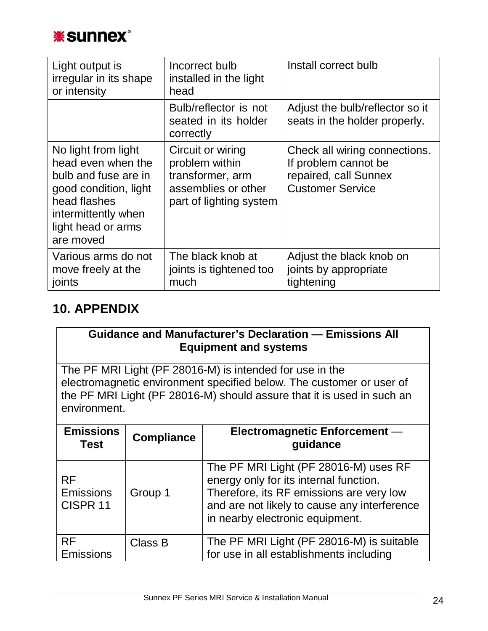

| Light output is<br>irregular in its shape<br>or intensity                                                                                                            | Incorrect bulb<br>installed in the light<br>head                                                          | Install correct bulb                                                                                      |
|----------------------------------------------------------------------------------------------------------------------------------------------------------------------|-----------------------------------------------------------------------------------------------------------|-----------------------------------------------------------------------------------------------------------|
|                                                                                                                                                                      | Bulb/reflector is not<br>seated in its holder<br>correctly                                                | Adjust the bulb/reflector so it<br>seats in the holder properly.                                          |
| No light from light<br>head even when the<br>bulb and fuse are in<br>good condition, light<br>head flashes<br>intermittently when<br>light head or arms<br>are moved | Circuit or wiring<br>problem within<br>transformer, arm<br>assemblies or other<br>part of lighting system | Check all wiring connections.<br>If problem cannot be<br>repaired, call Sunnex<br><b>Customer Service</b> |
| Various arms do not<br>move freely at the<br>joints                                                                                                                  | The black knob at<br>joints is tightened too<br>much                                                      | Adjust the black knob on<br>joints by appropriate<br>tightening                                           |

### **10. APPENDIX**

#### **Guidance and Manufacturer's Declaration — Emissions All Equipment and systems**

The PF MRI Light (PF 28016-M) is intended for use in the electromagnetic environment specified below. The customer or user of the PF MRI Light (PF 28016-M) should assure that it is used in such an environment.

| <b>Emissions</b><br><b>Test</b>           | <b>Compliance</b> | Electromagnetic Enforcement-<br>guidance                                                                                                                                                                       |
|-------------------------------------------|-------------------|----------------------------------------------------------------------------------------------------------------------------------------------------------------------------------------------------------------|
| <b>RF</b><br><b>Emissions</b><br>CISPR 11 | Group 1           | The PF MRI Light (PF 28016-M) uses RF<br>energy only for its internal function.<br>Therefore, its RF emissions are very low<br>and are not likely to cause any interference<br>in nearby electronic equipment. |
| <b>RF</b><br>Emissions                    | Class B           | The PF MRI Light (PF 28016-M) is suitable<br>for use in all establishments including                                                                                                                           |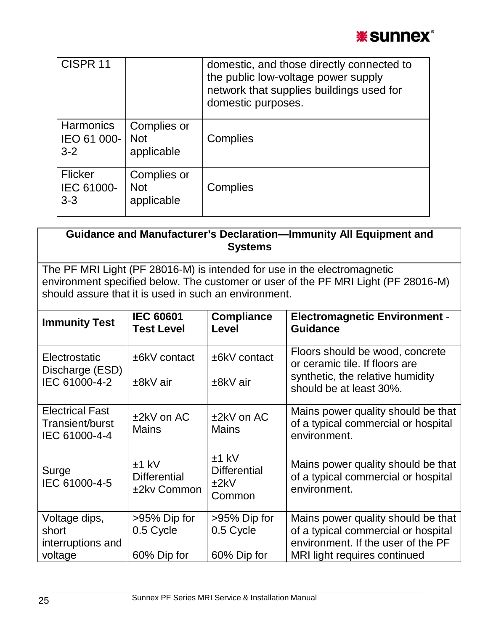

| CISPR 11                                   |                                         | domestic, and those directly connected to<br>the public low-voltage power supply<br>network that supplies buildings used for<br>domestic purposes. |
|--------------------------------------------|-----------------------------------------|----------------------------------------------------------------------------------------------------------------------------------------------------|
| <b>Harmonics</b><br>IEO 61 000-<br>$3 - 2$ | Complies or<br><b>Not</b><br>applicable | Complies                                                                                                                                           |
| Flicker<br>IEC 61000-<br>$3 - 3$           | Complies or<br><b>Not</b><br>applicable | Complies                                                                                                                                           |

**Guidance and Manufacturer's Declaration—Immunity All Equipment and Systems** The PF MRI Light (PF 28016-M) is intended for use in the electromagnetic environment specified below. The customer or user of the PF MRI Light (PF 28016-M) should assure that it is used in such an environment.

| <b>Immunity Test</b>                                       | <b>IEC 60601</b><br><b>Test Level</b>         | <b>Compliance</b><br><b>Level</b>                | <b>Electromagnetic Environment -</b><br><b>Guidance</b>                                               |  |  |
|------------------------------------------------------------|-----------------------------------------------|--------------------------------------------------|-------------------------------------------------------------------------------------------------------|--|--|
| Electrostatic<br>Discharge (ESD)                           | ±6kV contact                                  | ±6kV contact                                     | Floors should be wood, concrete<br>or ceramic tile. If floors are<br>synthetic, the relative humidity |  |  |
| IEC 61000-4-2                                              | ±8kV air                                      | ±8kV air                                         | should be at least 30%.                                                                               |  |  |
| <b>Electrical Fast</b><br>Transient/burst<br>IEC 61000-4-4 | ±2kV on AC<br><b>Mains</b>                    | $±2kV$ on AC<br><b>Mains</b>                     | Mains power quality should be that<br>of a typical commercial or hospital<br>environment.             |  |  |
| Surge<br>IEC 61000-4-5                                     | $±1$ kV<br><b>Differential</b><br>±2kv Common | $±1$ kV<br><b>Differential</b><br>±2kV<br>Common | Mains power quality should be that<br>of a typical commercial or hospital<br>environment.             |  |  |
| Voltage dips,                                              | >95% Dip for                                  | $>95\%$ Dip for                                  | Mains power quality should be that                                                                    |  |  |
| short                                                      | 0.5 Cycle                                     | 0.5 Cycle                                        | of a typical commercial or hospital<br>environment. If the user of the PF                             |  |  |
| interruptions and<br>voltage                               | 60% Dip for                                   | 60% Dip for                                      | MRI light requires continued                                                                          |  |  |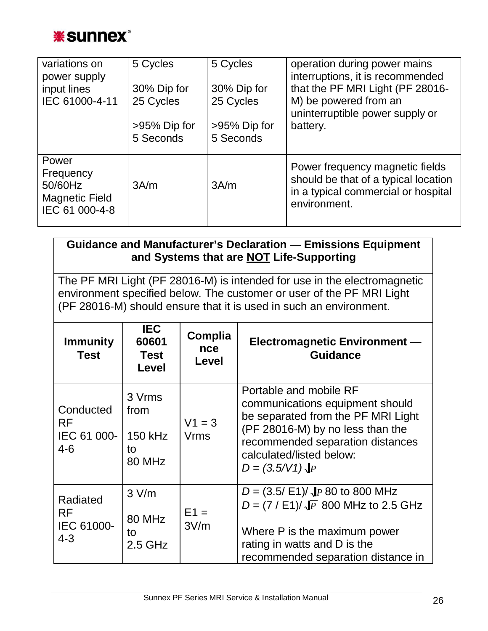

| variations on<br>power supply<br>input lines<br>IEC 61000-4-11           | 5 Cycles<br>30% Dip for<br>25 Cycles<br>$>95\%$ Dip for<br>5 Seconds | 5 Cycles<br>30% Dip for<br>25 Cycles<br>>95% Dip for<br>5 Seconds | operation during power mains<br>interruptions, it is recommended<br>that the PF MRI Light (PF 28016-<br>M) be powered from an<br>uninterruptible power supply or<br>battery. |
|--------------------------------------------------------------------------|----------------------------------------------------------------------|-------------------------------------------------------------------|------------------------------------------------------------------------------------------------------------------------------------------------------------------------------|
| Power<br>Frequency<br>50/60Hz<br><b>Magnetic Field</b><br>IEC 61 000-4-8 | 3A/m                                                                 | 3A/m                                                              | Power frequency magnetic fields<br>should be that of a typical location<br>in a typical commercial or hospital<br>environment.                                               |

| Guidance and Manufacturer's Declaration - Emissions Equipment<br>and Systems that are <b>NOT</b> Life-Supporting                                                                                                        |                                                    |                         |                                                                                                                                                                                                                               |
|-------------------------------------------------------------------------------------------------------------------------------------------------------------------------------------------------------------------------|----------------------------------------------------|-------------------------|-------------------------------------------------------------------------------------------------------------------------------------------------------------------------------------------------------------------------------|
| The PF MRI Light (PF 28016-M) is intended for use in the electromagnetic<br>environment specified below. The customer or user of the PF MRI Light<br>(PF 28016-M) should ensure that it is used in such an environment. |                                                    |                         |                                                                                                                                                                                                                               |
| <b>Immunity</b><br><b>Test</b>                                                                                                                                                                                          | <b>IEC</b><br>60601<br><b>Test</b><br><b>Level</b> | Complia<br>nce<br>Level | Electromagnetic Environment -<br><b>Guidance</b>                                                                                                                                                                              |
| Conducted<br><b>RF</b><br>IEC 61 000-<br>$4 - 6$                                                                                                                                                                        | 3 Vrms<br>from<br>150 kHz<br>to<br>80 MHz          | $V1 = 3$<br><b>Vrms</b> | Portable and mobile RF<br>communications equipment should<br>be separated from the PF MRI Light<br>(PF 28016-M) by no less than the<br>recommended separation distances<br>calculated/listed below:<br>$D = (3.5/V1)\sqrt{P}$ |
| Radiated<br><b>RF</b><br>IEC 61000-<br>$4 - 3$                                                                                                                                                                          | 3 V/m<br>80 MHz<br>to<br>2.5 GHz                   | $E1 =$<br>3V/m          | $D = (3.5 / E1)/\sqrt{P} 80$ to 800 MHz<br>$D = (7 / E1)/\sqrt{P}$ 800 MHz to 2.5 GHz<br>Where P is the maximum power<br>rating in watts and D is the<br>recommended separation distance in                                   |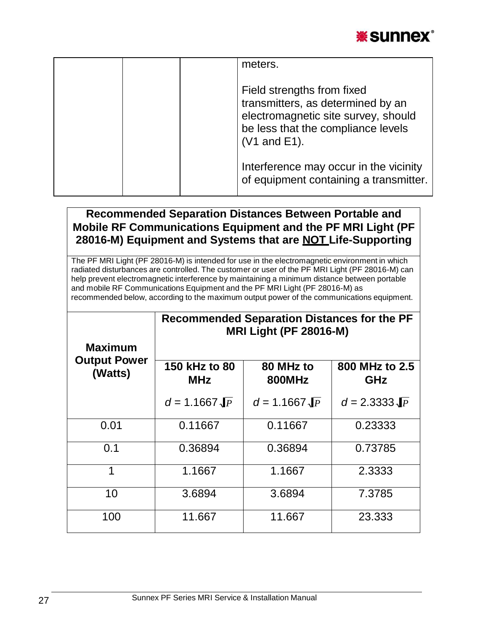# **WE SUNNEX**

|  | meters.                                                                                                                                                        |
|--|----------------------------------------------------------------------------------------------------------------------------------------------------------------|
|  | Field strengths from fixed<br>transmitters, as determined by an<br>electromagnetic site survey, should<br>be less that the compliance levels<br>$(V1$ and E1). |
|  | Interference may occur in the vicinity<br>of equipment containing a transmitter.                                                                               |

#### **Recommended Separation Distances Between Portable and Mobile RF Communications Equipment and the PF MRI Light (PF 28016-M) Equipment and Systems that are NOT Life-Supporting**

The PF MRI Light (PF 28016-M) is intended for use in the electromagnetic environment in which radiated disturbances are controlled. The customer or user of the PF MRI Light (PF 28016-M) can help prevent electromagnetic interference by maintaining a minimum distance between portable and mobile RF Communications Equipment and the PF MRI Light (PF 28016-M) as recommended below, according to the maximum output power of the communications equipment.

| <b>Maximum</b>                 | <b>Recommended Separation Distances for the PF</b><br><b>MRI Light (PF 28016-M)</b> |                       |                       |  |
|--------------------------------|-------------------------------------------------------------------------------------|-----------------------|-----------------------|--|
| <b>Output Power</b><br>(Watts) | 150 kHz to 80<br><b>MHz</b>                                                         | 80 MHz to<br>800MHz   | 800 MHz to 2.5<br>GHz |  |
|                                | $d = 1.1667 \sqrt{P}$                                                               | $d = 1.1667 \sqrt{P}$ | $d = 2.3333 \sqrt{P}$ |  |
| 0.01                           | 0.11667                                                                             | 0.11667               | 0.23333               |  |
| 0.1                            | 0.36894                                                                             | 0.36894               | 0.73785               |  |
| 1                              | 1.1667                                                                              | 1.1667                | 2.3333                |  |
| 10                             | 3.6894                                                                              | 3.6894                | 7.3785                |  |
| 100                            | 11.667                                                                              | 11.667                | 23.333                |  |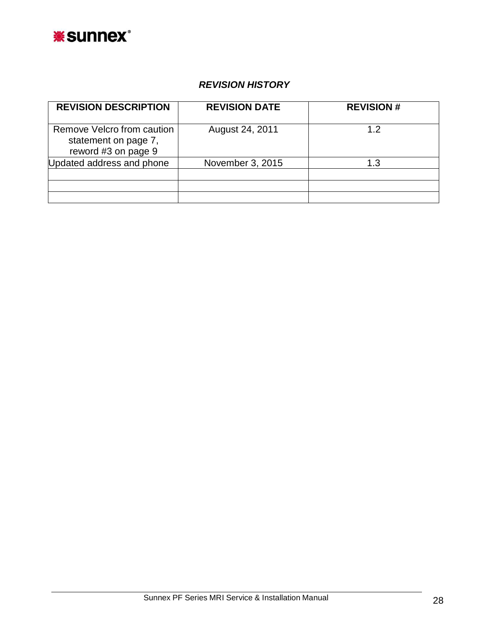

#### *REVISION HISTORY*

| <b>REVISION DESCRIPTION</b>                                               | <b>REVISION DATE</b> | <b>REVISION#</b> |
|---------------------------------------------------------------------------|----------------------|------------------|
| Remove Velcro from caution<br>statement on page 7,<br>reword #3 on page 9 | August 24, 2011      | 1.2              |
| Updated address and phone                                                 | November 3, 2015     | 1.3              |
|                                                                           |                      |                  |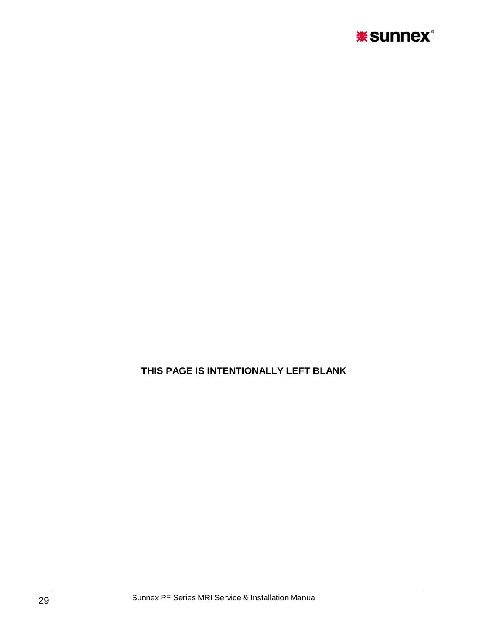

**THIS PAGE IS INTENTIONALLY LEFT BLANK**